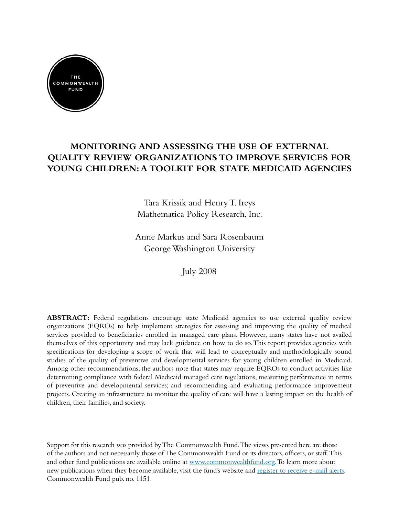

# **MONITORING AND ASSESSING THE USE OF External Quality Review Organizations To Improve Services For Young Children: A Toolkit for State Medicaid Agencies**

Tara Krissik and Henry T. Ireys Mathematica Policy Research, Inc.

Anne Markus and Sara Rosenbaum George Washington University

July 2008

ABSTRACT: Federal regulations encourage state Medicaid agencies to use external quality review organizations (EQROs) to help implement strategies for assessing and improving the quality of medical services provided to beneficiaries enrolled in managed care plans. However, many states have not availed themselves of this opportunity and may lack guidance on how to do so. This report provides agencies with specifications for developing a scope of work that will lead to conceptually and methodologically sound studies of the quality of preventive and developmental services for young children enrolled in Medicaid. Among other recommendations, the authors note that states may require EQROs to conduct activities like determining compliance with federal Medicaid managed care regulations, measuring performance in terms of preventive and developmental services; and recommending and evaluating performance improvement projects. Creating an infrastructure to monitor the quality of care will have a lasting impact on the health of children, their families, and society.

Support for this research was provided by The Commonwealth Fund. The views presented here are those of the authors and not necessarily those of The Commonwealth Fund or its directors, officers, or staff. This and other fund publications are available online at [www.commonwealthfund.org.](http://www.commonwealthfund.org/) To learn more about new publications when they become available, visit the fund's website and [register to receive e-mail alerts.](http://www.commonwealthfund.org/myprofile/myprofile_edit.htm) Commonwealth Fund pub. no. 1151.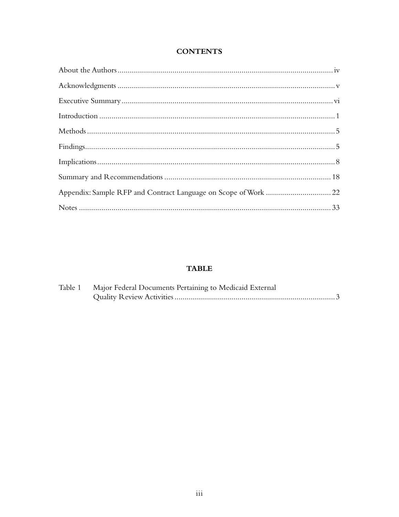## **CONTENTS**

#### **TABLE**

| Table 1 Major Federal Documents Pertaining to Medicaid External |
|-----------------------------------------------------------------|
|                                                                 |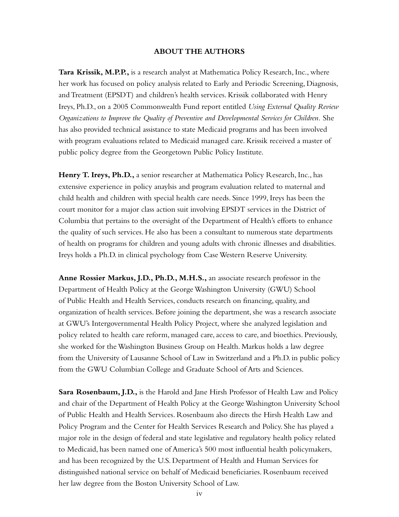#### **ABOUT THE AUTHORS**

**Tara Krissik, M.P.P.,** is a research analyst at Mathematica Policy Research, Inc., where her work has focused on policy analysis related to Early and Periodic Screening, Diagnosis, and Treatment (EPSDT) and children's health services. Krissik collaborated with Henry Ireys, Ph.D., on a 2005 Commonwealth Fund report entitled *Using External Quality Review Organizations to Improve the Quality of Preventive and Developmental Services for Children.* She has also provided technical assistance to state Medicaid programs and has been involved with program evaluations related to Medicaid managed care. Krissik received a master of public policy degree from the Georgetown Public Policy Institute.

**Henry T. Ireys, Ph.D.,** a senior researcher at Mathematica Policy Research, Inc., has extensive experience in policy anaylsis and program evaluation related to maternal and child health and children with special health care needs. Since 1999, Ireys has been the court monitor for a major class action suit involving EPSDT services in the District of Columbia that pertains to the oversight of the Department of Health's efforts to enhance the quality of such services. He also has been a consultant to numerous state departments of health on programs for children and young adults with chronic illnesses and disabilities. Ireys holds a Ph.D. in clinical psychology from Case Western Reserve University.

**Anne Rossier Markus, J.D., Ph.D., M.H.S.,** an associate research professor in the Department of Health Policy at the George Washington University (GWU) School of Public Health and Health Services, conducts research on financing, quality, and organization of health services. Before joining the department, she was a research associate at GWU's Intergovernmental Health Policy Project, where she analyzed legislation and policy related to health care reform, managed care, access to care, and bioethics. Previously, she worked for the Washington Business Group on Health. Markus holds a law degree from the University of Lausanne School of Law in Switzerland and a Ph.D. in public policy from the GWU Columbian College and Graduate School of Arts and Sciences.

**Sara Rosenbaum, J.D.,** is the Harold and Jane Hirsh Professor of Health Law and Policy and chair of the Department of Health Policy at the George Washington University School of Public Health and Health Services. Rosenbaum also directs the Hirsh Health Law and Policy Program and the Center for Health Services Research and Policy. She has played a major role in the design of federal and state legislative and regulatory health policy related to Medicaid, has been named one of America's 500 most influential health policymakers, and has been recognized by the U.S. Department of Health and Human Services for distinguished national service on behalf of Medicaid beneficiaries. Rosenbaum received her law degree from the Boston University School of Law.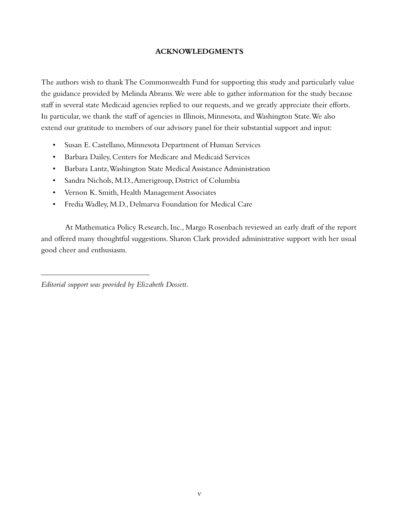#### **ACKNOWLEDGMENTS**

The authors wish to thank The Commonwealth Fund for supporting this study and particularly value the guidance provided by Melinda Abrams. We were able to gather information for the study because staff in several state Medicaid agencies replied to our requests, and we greatly appreciate their efforts. In particular, we thank the staff of agencies in Illinois, Minnesota, and Washington State. We also extend our gratitude to members of our advisory panel for their substantial support and input:

- • Susan E. Castellano, Minnesota Department of Human Services
- • Barbara Dailey, Centers for Medicare and Medicaid Services
- • Barbara Lantz, Washington State Medical Assistance Administration
- Sandra Nichols, M.D., Amerigroup, District of Columbia
- • Vernon K. Smith, Health Management Associates
- • Fredia Wadley, M.D., Delmarva Foundation for Medical Care

At Mathematica Policy Research, Inc., Margo Rosenbach reviewed an early draft of the report and offered many thoughtful suggestions. Sharon Clark provided administrative support with her usual good cheer and enthusiasm.

*Editorial support was provided by Elizabeth Dossett.*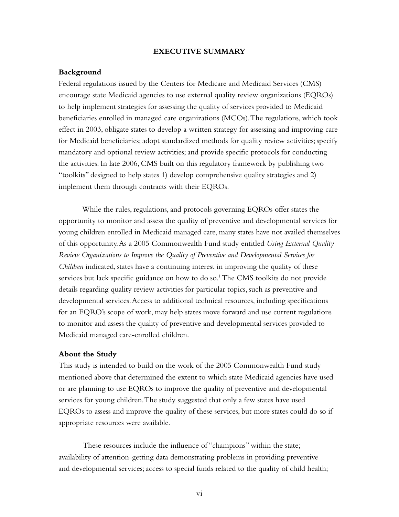#### **EXECUTIVE SUMMARY**

#### **Background**

Federal regulations issued by the Centers for Medicare and Medicaid Services (CMS) encourage state Medicaid agencies to use external quality review organizations (EQROs) to help implement strategies for assessing the quality of services provided to Medicaid beneficiaries enrolled in managed care organizations (MCOs). The regulations, which took effect in 2003, obligate states to develop a written strategy for assessing and improving care for Medicaid beneficiaries; adopt standardized methods for quality review activities; specify mandatory and optional review activities; and provide specific protocols for conducting the activities. In late 2006, CMS built on this regulatory framework by publishing two "toolkits" designed to help states 1) develop comprehensive quality strategies and 2) implement them through contracts with their EQROs.

While the rules, regulations, and protocols governing EQROs offer states the opportunity to monitor and assess the quality of preventive and developmental services for young children enrolled in Medicaid managed care, many states have not availed themselves of this opportunity. As a 2005 Commonwealth Fund study entitled *Using External Quality Review Organizations to Improve the Quality of Preventive and Developmental Services for Children* indicated, states have a continuing interest in improving the quality of these services but lack specific guidance on how to do so.<sup>1</sup> The CMS toolkits do not provide details regarding quality review activities for particular topics, such as preventive and developmental services. Access to additional technical resources, including specifications for an EQRO's scope of work, may help states move forward and use current regulations to monitor and assess the quality of preventive and developmental services provided to Medicaid managed care-enrolled children.

#### **About the Study**

This study is intended to build on the work of the 2005 Commonwealth Fund study mentioned above that determined the extent to which state Medicaid agencies have used or are planning to use EQROs to improve the quality of preventive and developmental services for young children. The study suggested that only a few states have used EQROs to assess and improve the quality of these services, but more states could do so if appropriate resources were available.

These resources include the influence of "champions" within the state; availability of attention-getting data demonstrating problems in providing preventive and developmental services; access to special funds related to the quality of child health;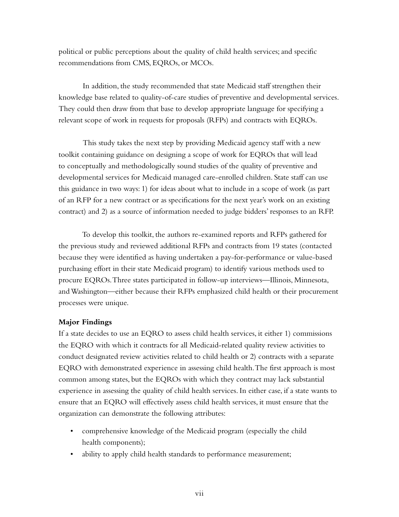political or public perceptions about the quality of child health services; and specific recommendations from CMS, EQROs, or MCOs.

In addition, the study recommended that state Medicaid staff strengthen their knowledge base related to quality-of-care studies of preventive and developmental services. They could then draw from that base to develop appropriate language for specifying a relevant scope of work in requests for proposals (RFPs) and contracts with EQROs.

This study takes the next step by providing Medicaid agency staff with a new toolkit containing guidance on designing a scope of work for EQROs that will lead to conceptually and methodologically sound studies of the quality of preventive and developmental services for Medicaid managed care-enrolled children. State staff can use this guidance in two ways: 1) for ideas about what to include in a scope of work (as part of an RFP for a new contract or as specifications for the next year's work on an existing contract) and 2) as a source of information needed to judge bidders' responses to an RFP.

To develop this toolkit, the authors re-examined reports and RFPs gathered for the previous study and reviewed additional RFPs and contracts from 19 states (contacted because they were identified as having undertaken a pay-for-performance or value-based purchasing effort in their state Medicaid program) to identify various methods used to procure EQROs. Three states participated in follow-up interviews—Illinois, Minnesota, and Washington—either because their RFPs emphasized child health or their procurement processes were unique.

#### **Major Findings**

If a state decides to use an EQRO to assess child health services, it either 1) commissions the EQRO with which it contracts for all Medicaid-related quality review activities to conduct designated review activities related to child health or 2) contracts with a separate EQRO with demonstrated experience in assessing child health. The first approach is most common among states, but the EQROs with which they contract may lack substantial experience in assessing the quality of child health services. In either case, if a state wants to ensure that an EQRO will effectively assess child health services, it must ensure that the organization can demonstrate the following attributes:

- comprehensive knowledge of the Medicaid program (especially the child health components);
- ability to apply child health standards to performance measurement;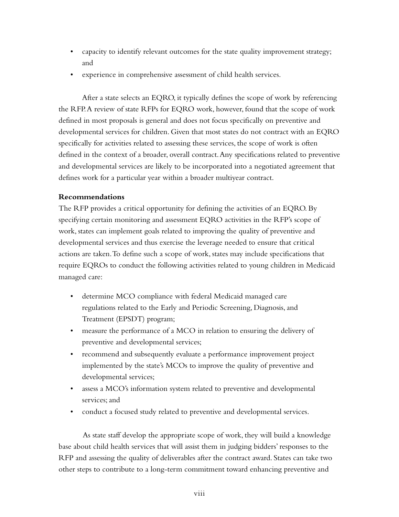- capacity to identify relevant outcomes for the state quality improvement strategy; and
- • experience in comprehensive assessment of child health services.

After a state selects an EQRO, it typically defines the scope of work by referencing the RFP. A review of state RFPs for EQRO work, however, found that the scope of work defined in most proposals is general and does not focus specifically on preventive and developmental services for children. Given that most states do not contract with an EQRO specifically for activities related to assessing these services, the scope of work is often defined in the context of a broader, overall contract. Any specifications related to preventive and developmental services are likely to be incorporated into a negotiated agreement that defines work for a particular year within a broader multiyear contract.

#### **Recommendations**

The RFP provides a critical opportunity for defining the activities of an EQRO. By specifying certain monitoring and assessment EQRO activities in the RFP's scope of work, states can implement goals related to improving the quality of preventive and developmental services and thus exercise the leverage needed to ensure that critical actions are taken. To define such a scope of work, states may include specifications that require EQROs to conduct the following activities related to young children in Medicaid managed care:

- determine MCO compliance with federal Medicaid managed care regulations related to the Early and Periodic Screening, Diagnosis, and Treatment (EPSDT) program;
- ineasure the performance of a MCO in relation to ensuring the delivery of preventive and developmental services;
- recommend and subsequently evaluate a performance improvement project implemented by the state's MCOs to improve the quality of preventive and developmental services;
- assess a MCO's information system related to preventive and developmental services; and
- conduct a focused study related to preventive and developmental services.

As state staff develop the appropriate scope of work, they will build a knowledge base about child health services that will assist them in judging bidders' responses to the RFP and assessing the quality of deliverables after the contract award. States can take two other steps to contribute to a long-term commitment toward enhancing preventive and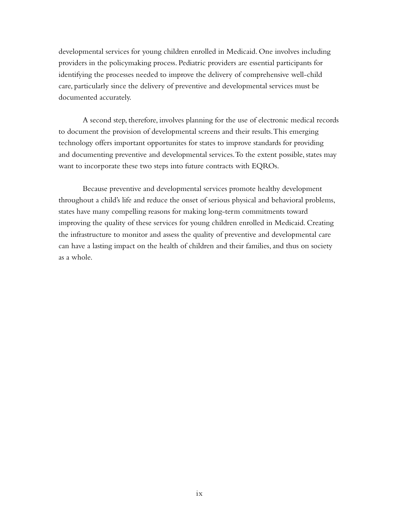developmental services for young children enrolled in Medicaid. One involves including providers in the policymaking process. Pediatric providers are essential participants for identifying the processes needed to improve the delivery of comprehensive well-child care, particularly since the delivery of preventive and developmental services must be documented accurately.

A second step, therefore, involves planning for the use of electronic medical records to document the provision of developmental screens and their results. This emerging technology offers important opportunites for states to improve standards for providing and documenting preventive and developmental services. To the extent possible, states may want to incorporate these two steps into future contracts with EQROs.

Because preventive and developmental services promote healthy development throughout a child's life and reduce the onset of serious physical and behavioral problems, states have many compelling reasons for making long-term commitments toward improving the quality of these services for young children enrolled in Medicaid. Creating the infrastructure to monitor and assess the quality of preventive and developmental care can have a lasting impact on the health of children and their families, and thus on society as a whole.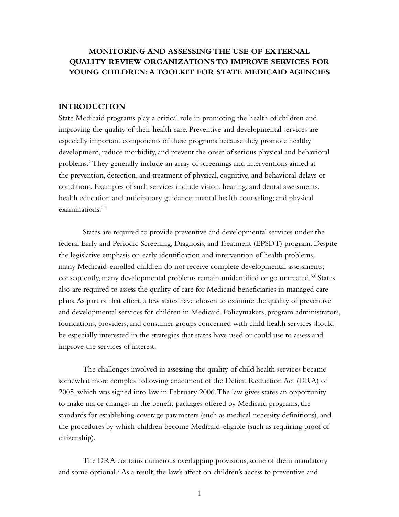# **MONITORING AND ASSESSING THE USE OF External Quality Review Organizations To Improve Services For Young Children: A Toolkit for State Medicaid Agencies**

#### **INTRODUCTION**

State Medicaid programs play a critical role in promoting the health of children and improving the quality of their health care. Preventive and developmental services are especially important components of these programs because they promote healthy development, reduce morbidity, and prevent the onset of serious physical and behavioral problems.2 They generally include an array of screenings and interventions aimed at the prevention, detection, and treatment of physical, cognitive, and behavioral delays or conditions. Examples of such services include vision, hearing, and dental assessments; health education and anticipatory guidance; mental health counseling; and physical examinations.3,4

States are required to provide preventive and developmental services under the federal Early and Periodic Screening, Diagnosis, and Treatment (EPSDT) program. Despite the legislative emphasis on early identification and intervention of health problems, many Medicaid-enrolled children do not receive complete developmental assessments; consequently, many developmental problems remain unidentified or go untreated.5,6 States also are required to assess the quality of care for Medicaid beneficiaries in managed care plans. As part of that effort, a few states have chosen to examine the quality of preventive and developmental services for children in Medicaid. Policymakers, program administrators, foundations, providers, and consumer groups concerned with child health services should be especially interested in the strategies that states have used or could use to assess and improve the services of interest.

The challenges involved in assessing the quality of child health services became somewhat more complex following enactment of the Deficit Reduction Act (DRA) of 2005, which was signed into law in February 2006. The law gives states an opportunity to make major changes in the benefit packages offered by Medicaid programs, the standards for establishing coverage parameters (such as medical necessity definitions), and the procedures by which children become Medicaid-eligible (such as requiring proof of citizenship).

The DRA contains numerous overlapping provisions, some of them mandatory and some optional.<sup>7</sup> As a result, the law's affect on children's access to preventive and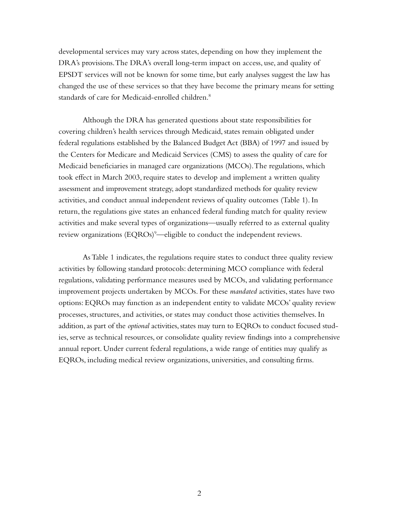developmental services may vary across states, depending on how they implement the DRA's provisions. The DRA's overall long-term impact on access, use, and quality of EPSDT services will not be known for some time, but early analyses suggest the law has changed the use of these services so that they have become the primary means for setting standards of care for Medicaid-enrolled children.<sup>8</sup>

Although the DRA has generated questions about state responsibilities for covering children's health services through Medicaid, states remain obligated under federal regulations established by the Balanced Budget Act (BBA) of 1997 and issued by the Centers for Medicare and Medicaid Services (CMS) to assess the quality of care for Medicaid beneficiaries in managed care organizations (MCOs). The regulations, which took effect in March 2003, require states to develop and implement a written quality assessment and improvement strategy, adopt standardized methods for quality review activities, and conduct annual independent reviews of quality outcomes (Table 1). In return, the regulations give states an enhanced federal funding match for quality review activities and make several types of organizations—usually referred to as external quality review organizations  $(\text{EQROs})^9$ —eligible to conduct the independent reviews.

As Table 1 indicates, the regulations require states to conduct three quality review activities by following standard protocols: determining MCO compliance with federal regulations, validating performance measures used by MCOs, and validating performance improvement projects undertaken by MCOs. For these *mandated* activities, states have two options: EQROs may function as an independent entity to validate MCOs' quality review processes, structures, and activities, or states may conduct those activities themselves. In addition, as part of the *optional* activities, states may turn to EQROs to conduct focused studies, serve as technical resources, or consolidate quality review findings into a comprehensive annual report. Under current federal regulations, a wide range of entities may qualify as EQROs, including medical review organizations, universities, and consulting firms.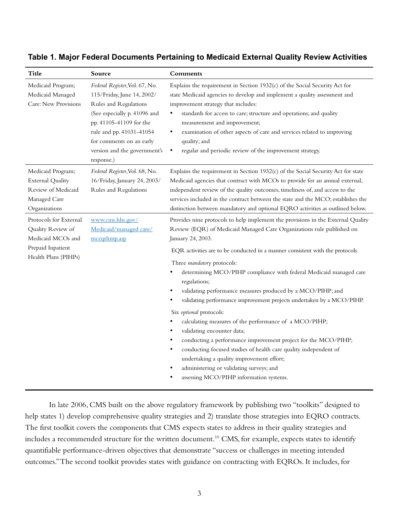| <b>Title</b>                                                                                                  | Source                                                                                                                                                                                                                                                 | Comments                                                                                                                                                                                                                                                                                                                                                                                                                                                                                                                                                                                                                                                                                                                                                                                                                                                                                                                                           |
|---------------------------------------------------------------------------------------------------------------|--------------------------------------------------------------------------------------------------------------------------------------------------------------------------------------------------------------------------------------------------------|----------------------------------------------------------------------------------------------------------------------------------------------------------------------------------------------------------------------------------------------------------------------------------------------------------------------------------------------------------------------------------------------------------------------------------------------------------------------------------------------------------------------------------------------------------------------------------------------------------------------------------------------------------------------------------------------------------------------------------------------------------------------------------------------------------------------------------------------------------------------------------------------------------------------------------------------------|
| Medicaid Program;<br>Medicaid Managed<br>Care: New Provisions                                                 | Federal Register, Vol. 67, No.<br>115/Friday, June 14, 2002/<br>Rules and Regulations<br>(See especially p. 41096 and<br>pp. 41105-41109 for the<br>rule and pp. 41031-41054<br>for comments on an early<br>version and the government's<br>response.) | Explains the requirement in Section $1932(c)$ of the Social Security Act for<br>state Medicaid agencies to develop and implement a quality assessment and<br>improvement strategy that includes:<br>standards for access to care; structure and operations; and quality<br>measurement and improvement;<br>examination of other aspects of care and services related to improving<br>٠<br>quality; and<br>regular and periodic review of the improvement strategy.<br>$\bullet$                                                                                                                                                                                                                                                                                                                                                                                                                                                                    |
| Medicaid Program;<br><b>External Quality</b><br>Review of Medicaid<br>Managed Care<br>Organizations           | Federal Register, Vol. 68, No.<br>16/Friday, January 24, 2003/<br>Rules and Regulations                                                                                                                                                                | Explains the requirement in Section 1932(c) of the Social Security Act for state<br>Medicaid agencies that contract with MCOs to provide for an annual external,<br>independent review of the quality outcomes, timeliness of, and access to the<br>services included in the contract between the state and the MCO; establishes the<br>distinction between mandatory and optional EQRO activities as outlined below.                                                                                                                                                                                                                                                                                                                                                                                                                                                                                                                              |
| Protocols for External<br>Quality Review of<br>Medicaid MCOs and<br>Prepaid Inpatient<br>Health Plans (PIHPs) | www.cms.hhs.gov/<br>Medicaid/managed care/<br>mceqrhmp.asp                                                                                                                                                                                             | Provides nine protocols to help implement the provisions in the External Quality<br>Review (EQR) of Medicaid Managed Care Organizations rule published on<br>January 24, 2003.<br>EQR activities are to be conducted in a manner consistent with the protocols.<br>Three mandatory protocols:<br>determining MCO/PIHP compliance with federal Medicaid managed care<br>regulations;<br>validating performance measures produced by a MCO/PIHP; and<br>validating performance improvement projects undertaken by a MCO/PIHP.<br>Six optional protocols:<br>calculating measures of the performance of a MCO/PIHP;<br>validating encounter data;<br>conducting a performance improvement project for the MCO/PIHP;<br>conducting focused studies of health care quality independent of<br>$\bullet$<br>undertaking a quality improvement effort;<br>administering or validating surveys; and<br>$\bullet$<br>assessing MCO/PIHP information systems. |

## **Table 1. Major Federal Documents Pertaining to Medicaid External Quality Review Activities**

In late 2006, CMS built on the above regulatory framework by publishing two "toolkits" designed to help states 1) develop comprehensive quality strategies and 2) translate those strategies into EQRO contracts. The first toolkit covers the components that CMS expects states to address in their quality strategies and includes a recommended structure for the written document.<sup>10</sup> CMS, for example, expects states to identify quantifiable performance-driven objectives that demonstrate "success or challenges in meeting intended outcomes." The second toolkit provides states with guidance on contracting with EQROs. It includes, for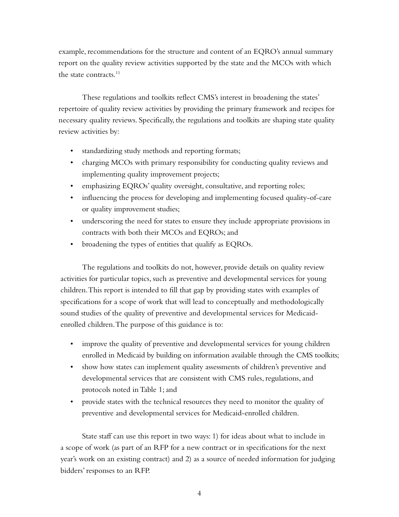example, recommendations for the structure and content of an EQRO's annual summary report on the quality review activities supported by the state and the MCOs with which the state contracts. $11$ 

These regulations and toolkits reflect CMS's interest in broadening the states' repertoire of quality review activities by providing the primary framework and recipes for necessary quality reviews. Specifically, the regulations and toolkits are shaping state quality review activities by:

- standardizing study methods and reporting formats;
- charging MCOs with primary responsibility for conducting quality reviews and implementing quality improvement projects;
- emphasizing EQROs' quality oversight, consultative, and reporting roles;
- influencing the process for developing and implementing focused quality-of-care or quality improvement studies;
- underscoring the need for states to ensure they include appropriate provisions in contracts with both their MCOs and EQROs; and
- broadening the types of entities that qualify as EQROs.

The regulations and toolkits do not, however, provide details on quality review activities for particular topics, such as preventive and developmental services for young children. This report is intended to fill that gap by providing states with examples of specifications for a scope of work that will lead to conceptually and methodologically sound studies of the quality of preventive and developmental services for Medicaidenrolled children. The purpose of this guidance is to:

- improve the quality of preventive and developmental services for young children enrolled in Medicaid by building on information available through the CMS toolkits;
- show how states can implement quality assessments of children's preventive and developmental services that are consistent with CMS rules, regulations, and protocols noted in Table 1; and
- provide states with the technical resources they need to monitor the quality of preventive and developmental services for Medicaid-enrolled children.

State staff can use this report in two ways: 1) for ideas about what to include in a scope of work (as part of an RFP for a new contract or in specifications for the next year's work on an existing contract) and 2) as a source of needed information for judging bidders' responses to an RFP.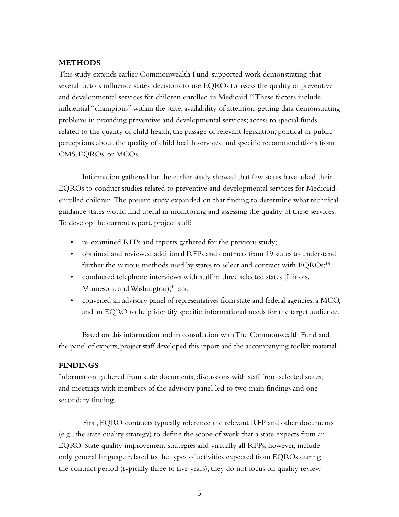#### **METHODS**

This study extends earlier Commonwealth Fund-supported work demonstrating that several factors influence states' decisions to use EQROs to assess the quality of preventive and developmental services for children enrolled in Medicaid.<sup>12</sup> These factors include influential "champions" within the state; availability of attention-getting data demonstrating problems in providing preventive and developmental services; access to special funds related to the quality of child health; the passage of relevant legislation; political or public perceptions about the quality of child health services; and specific recommendations from CMS, EQROs, or MCOs.

Information gathered for the earlier study showed that few states have asked their EQROs to conduct studies related to preventive and developmental services for Medicaidenrolled children. The present study expanded on that finding to determine what technical guidance states would find useful in monitoring and assessing the quality of these services. To develop the current report, project staff:

- re-examined RFPs and reports gathered for the previous study;
- • obtained and reviewed additional RFPs and contracts from 19 states to understand further the various methods used by states to select and contract with EQROs;<sup>13</sup>
- conducted telephone interviews with staff in three selected states (Illinois, Minnesota, and Washington);<sup>14</sup> and
- • convened an advisory panel of representatives from state and federal agencies, a MCO, and an EQRO to help identify specific informational needs for the target audience.

Based on this information and in consultation with The Commonwealth Fund and the panel of experts, project staff developed this report and the accompanying toolkit material.

#### **FINDINGS**

Information gathered from state documents, discussions with staff from selected states, and meetings with members of the advisory panel led to two main findings and one secondary finding.

First, EQRO contracts typically reference the relevant RFP and other documents (e.g., the state quality strategy) to define the scope of work that a state expects from an EQRO. State quality improvement strategies and virtually all RFPs, however, include only general language related to the types of activities expected from EQROs during the contract period (typically three to five years); they do not focus on quality review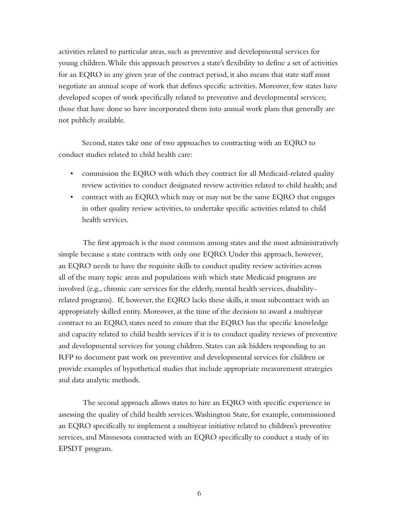activities related to particular areas, such as preventive and developmental services for young children. While this approach preserves a state's flexibility to define a set of activities for an EQRO in any given year of the contract period, it also means that state staff must negotiate an annual scope of work that defines specific activities. Moreover, few states have developed scopes of work specifically related to preventive and developmental services; those that have done so have incorporated them into annual work plans that generally are not publicly available.

Second, states take one of two approaches to contracting with an EQRO to conduct studies related to child health care:

- • commission the EQRO with which they contract for all Medicaid-related quality review activities to conduct designated review activities related to child health; and
- contract with an EQRO, which may or may not be the same EQRO that engages in other quality review activities, to undertake specific activities related to child health services.

The first approach is the most common among states and the most administratively simple because a state contracts with only one EQRO. Under this approach, however, an EQRO needs to have the requisite skills to conduct quality review activities across all of the many topic areas and populations with which state Medicaid programs are involved (e.g., chronic care services for the elderly, mental health services, disabilityrelated programs). If, however, the EQRO lacks these skills, it must subcontract with an appropriately skilled entity. Moreover, at the time of the decision to award a multiyear contract to an EQRO, states need to ensure that the EQRO has the specific knowledge and capacity related to child health services if it is to conduct quality reviews of preventive and developmental services for young children. States can ask bidders responding to an RFP to document past work on preventive and developmental services for children or provide examples of hypothetical studies that include appropriate measurement strategies and data analytic methods.

The second approach allows states to hire an EQRO with specific experience in assessing the quality of child health services. Washington State, for example, commissioned an EQRO specifically to implement a multiyear initiative related to children's preventive services, and Minnesota contracted with an EQRO specifically to conduct a study of its EPSDT program.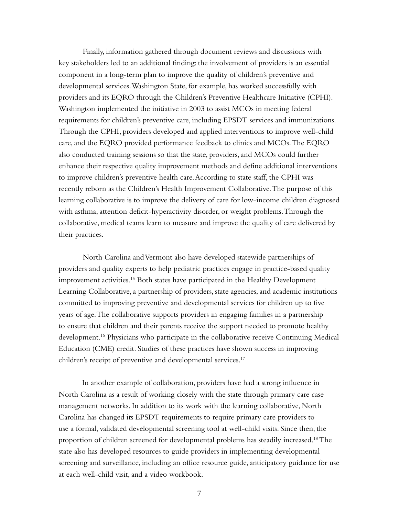Finally, information gathered through document reviews and discussions with key stakeholders led to an additional finding: the involvement of providers is an essential component in a long-term plan to improve the quality of children's preventive and developmental services. Washington State, for example, has worked successfully with providers and its EQRO through the Children's Preventive Healthcare Initiative (CPHI). Washington implemented the initiative in 2003 to assist MCOs in meeting federal requirements for children's preventive care, including EPSDT services and immunizations. Through the CPHI, providers developed and applied interventions to improve well-child care, and the EQRO provided performance feedback to clinics and MCOs. The EQRO also conducted training sessions so that the state, providers, and MCOs could further enhance their respective quality improvement methods and define additional interventions to improve children's preventive health care. According to state staff, the CPHI was recently reborn as the Children's Health Improvement Collaborative. The purpose of this learning collaborative is to improve the delivery of care for low-income children diagnosed with asthma, attention deficit-hyperactivity disorder, or weight problems. Through the collaborative, medical teams learn to measure and improve the quality of care delivered by their practices.

North Carolina and Vermont also have developed statewide partnerships of providers and quality experts to help pediatric practices engage in practice-based quality improvement activities.15 Both states have participated in the Healthy Development Learning Collaborative, a partnership of providers, state agencies, and academic institutions committed to improving preventive and developmental services for children up to five years of age. The collaborative supports providers in engaging families in a partnership to ensure that children and their parents receive the support needed to promote healthy development.<sup>16</sup> Physicians who participate in the collaborative receive Continuing Medical Education (CME) credit. Studies of these practices have shown success in improving children's receipt of preventive and developmental services.<sup>17</sup>

In another example of collaboration, providers have had a strong influence in North Carolina as a result of working closely with the state through primary care case management networks. In addition to its work with the learning collaborative, North Carolina has changed its EPSDT requirements to require primary care providers to use a formal, validated developmental screening tool at well-child visits. Since then, the proportion of children screened for developmental problems has steadily increased.<sup>18</sup> The state also has developed resources to guide providers in implementing developmental screening and surveillance, including an office resource guide, anticipatory guidance for use at each well-child visit, and a video workbook.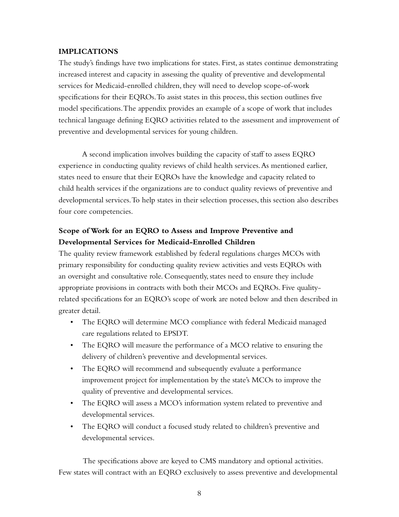#### **IMPLICATIONS**

The study's findings have two implications for states. First, as states continue demonstrating increased interest and capacity in assessing the quality of preventive and developmental services for Medicaid-enrolled children, they will need to develop scope-of-work specifications for their EQROs. To assist states in this process, this section outlines five model specifications. The appendix provides an example of a scope of work that includes technical language defining EQRO activities related to the assessment and improvement of preventive and developmental services for young children.

A second implication involves building the capacity of staff to assess EQRO experience in conducting quality reviews of child health services. As mentioned earlier, states need to ensure that their EQROs have the knowledge and capacity related to child health services if the organizations are to conduct quality reviews of preventive and developmental services. To help states in their selection processes, this section also describes four core competencies.

# **Scope of Work for an EQRO to Assess and Improve Preventive and Developmental Services for Medicaid-Enrolled Children**

The quality review framework established by federal regulations charges MCOs with primary responsibility for conducting quality review activities and vests EQROs with an oversight and consultative role. Consequently, states need to ensure they include appropriate provisions in contracts with both their MCOs and EQROs. Five qualityrelated specifications for an EQRO's scope of work are noted below and then described in greater detail.

- • The EQRO will determine MCO compliance with federal Medicaid managed care regulations related to EPSDT.
- The EQRO will measure the performance of a MCO relative to ensuring the delivery of children's preventive and developmental services.
- The EQRO will recommend and subsequently evaluate a performance improvement project for implementation by the state's MCOs to improve the quality of preventive and developmental services.
- The EQRO will assess a MCO's information system related to preventive and developmental services.
- The EQRO will conduct a focused study related to children's preventive and developmental services.

The specifications above are keyed to CMS mandatory and optional activities. Few states will contract with an EQRO exclusively to assess preventive and developmental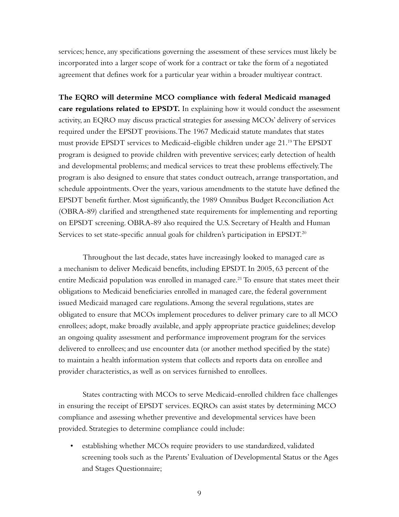services; hence, any specifications governing the assessment of these services must likely be incorporated into a larger scope of work for a contract or take the form of a negotiated agreement that defines work for a particular year within a broader multiyear contract.

**The EQRO will determine MCO compliance with federal Medicaid managed care regulations related to EPSDT.** In explaining how it would conduct the assessment activity, an EQRO may discuss practical strategies for assessing MCOs' delivery of services required under the EPSDT provisions. The 1967 Medicaid statute mandates that states must provide EPSDT services to Medicaid-eligible children under age 21.19 The EPSDT program is designed to provide children with preventive services; early detection of health and developmental problems; and medical services to treat these problems effectively. The program is also designed to ensure that states conduct outreach, arrange transportation, and schedule appointments. Over the years, various amendments to the statute have defined the EPSDT benefit further. Most significantly, the 1989 Omnibus Budget Reconciliation Act (OBRA-89) clarified and strengthened state requirements for implementing and reporting on EPSDT screening. OBRA-89 also required the U.S. Secretary of Health and Human Services to set state-specific annual goals for children's participation in EPSDT.<sup>20</sup>

Throughout the last decade, states have increasingly looked to managed care as a mechanism to deliver Medicaid benefits, including EPSDT. In 2005, 63 percent of the entire Medicaid population was enrolled in managed care.<sup>21</sup> To ensure that states meet their obligations to Medicaid beneficiaries enrolled in managed care, the federal government issued Medicaid managed care regulations. Among the several regulations, states are obligated to ensure that MCOs implement procedures to deliver primary care to all MCO enrollees; adopt, make broadly available, and apply appropriate practice guidelines; develop an ongoing quality assessment and performance improvement program for the services delivered to enrollees; and use encounter data (or another method specified by the state) to maintain a health information system that collects and reports data on enrollee and provider characteristics, as well as on services furnished to enrollees.

States contracting with MCOs to serve Medicaid-enrolled children face challenges in ensuring the receipt of EPSDT services. EQROs can assist states by determining MCO compliance and assessing whether preventive and developmental services have been provided. Strategies to determine compliance could include:

• establishing whether MCOs require providers to use standardized, validated screening tools such as the Parents' Evaluation of Developmental Status or the Ages and Stages Questionnaire;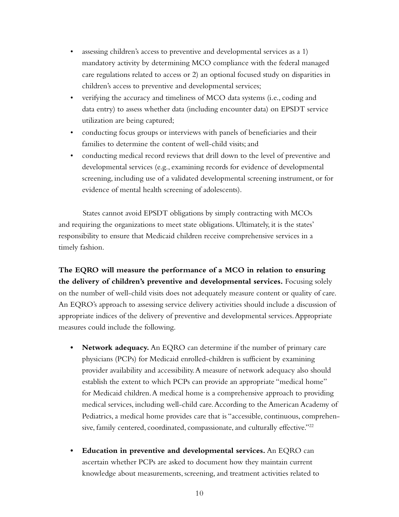- assessing children's access to preventive and developmental services as a 1) mandatory activity by determining MCO compliance with the federal managed care regulations related to access or 2) an optional focused study on disparities in children's access to preventive and developmental services;
- verifying the accuracy and timeliness of MCO data systems (i.e., coding and data entry) to assess whether data (including encounter data) on EPSDT service utilization are being captured;
- conducting focus groups or interviews with panels of beneficiaries and their families to determine the content of well-child visits; and
- conducting medical record reviews that drill down to the level of preventive and developmental services (e.g., examining records for evidence of developmental screening, including use of a validated developmental screening instrument, or for evidence of mental health screening of adolescents).

States cannot avoid EPSDT obligations by simply contracting with MCOs and requiring the organizations to meet state obligations. Ultimately, it is the states' responsibility to ensure that Medicaid children receive comprehensive services in a timely fashion.

**The EQRO will measure the performance of a MCO in relation to ensuring the delivery of children's preventive and developmental services.** Focusing solely on the number of well-child visits does not adequately measure content or quality of care. An EQRO's approach to assessing service delivery activities should include a discussion of appropriate indices of the delivery of preventive and developmental services. Appropriate measures could include the following.

- **• Network adequacy.** An EQRO can determine if the number of primary care physicians (PCPs) for Medicaid enrolled-children is sufficient by examining provider availability and accessibility. A measure of network adequacy also should establish the extent to which PCPs can provide an appropriate "medical home" for Medicaid children. A medical home is a comprehensive approach to providing medical services, including well-child care. According to the American Academy of Pediatrics, a medical home provides care that is "accessible, continuous, comprehensive, family centered, coordinated, compassionate, and culturally effective."<sup>22</sup>
- **• Education in preventive and developmental services.** An EQRO can ascertain whether PCPs are asked to document how they maintain current knowledge about measurements, screening, and treatment activities related to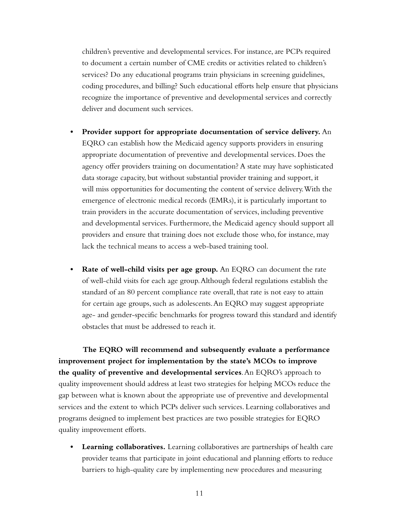children's preventive and developmental services. For instance, are PCPs required to document a certain number of CME credits or activities related to children's services? Do any educational programs train physicians in screening guidelines, coding procedures, and billing? Such educational efforts help ensure that physicians recognize the importance of preventive and developmental services and correctly deliver and document such services.

- **Provider support for appropriate documentation of service delivery.** An EQRO can establish how the Medicaid agency supports providers in ensuring appropriate documentation of preventive and developmental services. Does the agency offer providers training on documentation? A state may have sophisticated data storage capacity, but without substantial provider training and support, it will miss opportunities for documenting the content of service delivery. With the emergence of electronic medical records (EMRs), it is particularly important to train providers in the accurate documentation of services, including preventive and developmental services. Furthermore, the Medicaid agency should support all providers and ensure that training does not exclude those who, for instance, may lack the technical means to access a web-based training tool.
- **Rate of well-child visits per age group.** An EQRO can document the rate of well-child visits for each age group. Although federal regulations establish the standard of an 80 percent compliance rate overall, that rate is not easy to attain for certain age groups, such as adolescents. An EQRO may suggest appropriate age- and gender-specific benchmarks for progress toward this standard and identify obstacles that must be addressed to reach it.

**The EQRO will recommend and subsequently evaluate a performance improvement project for implementation by the state's MCOs to improve the quality of preventive and developmental services**. An EQRO's approach to quality improvement should address at least two strategies for helping MCOs reduce the gap between what is known about the appropriate use of preventive and developmental services and the extent to which PCPs deliver such services. Learning collaboratives and programs designed to implement best practices are two possible strategies for EQRO quality improvement efforts.

**Learning collaboratives.** Learning collaboratives are partnerships of health care provider teams that participate in joint educational and planning efforts to reduce barriers to high-quality care by implementing new procedures and measuring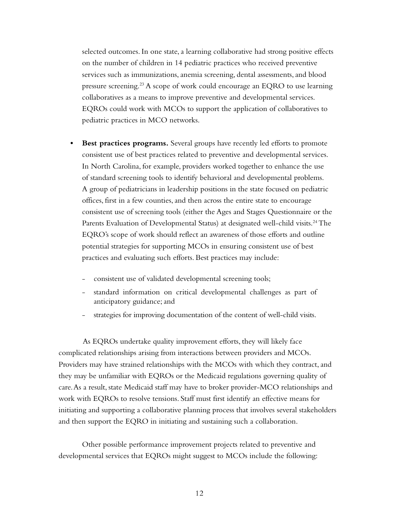selected outcomes. In one state, a learning collaborative had strong positive effects on the number of children in 14 pediatric practices who received preventive services such as immunizations, anemia screening, dental assessments, and blood pressure screening.<sup>23</sup> A scope of work could encourage an EQRO to use learning collaboratives as a means to improve preventive and developmental services. EQROs could work with MCOs to support the application of collaboratives to pediatric practices in MCO networks.

- **• Best practices programs.** Several groups have recently led efforts to promote consistent use of best practices related to preventive and developmental services. In North Carolina, for example, providers worked together to enhance the use of standard screening tools to identify behavioral and developmental problems. A group of pediatricians in leadership positions in the state focused on pediatric offices, first in a few counties, and then across the entire state to encourage consistent use of screening tools (either the Ages and Stages Questionnaire or the Parents Evaluation of Developmental Status) at designated well-child visits.<sup>24</sup> The EQRO's scope of work should reflect an awareness of those efforts and outline potential strategies for supporting MCOs in ensuring consistent use of best practices and evaluating such efforts. Best practices may include:
	- consistent use of validated developmental screening tools;
	- standard information on critical developmental challenges as part of anticipatory guidance; and
	- strategies for improving documentation of the content of well-child visits.

As EQROs undertake quality improvement efforts, they will likely face complicated relationships arising from interactions between providers and MCOs. Providers may have strained relationships with the MCOs with which they contract, and they may be unfamiliar with EQROs or the Medicaid regulations governing quality of care. As a result, state Medicaid staff may have to broker provider-MCO relationships and work with EQROs to resolve tensions. Staff must first identify an effective means for initiating and supporting a collaborative planning process that involves several stakeholders and then support the EQRO in initiating and sustaining such a collaboration.

Other possible performance improvement projects related to preventive and developmental services that EQROs might suggest to MCOs include the following: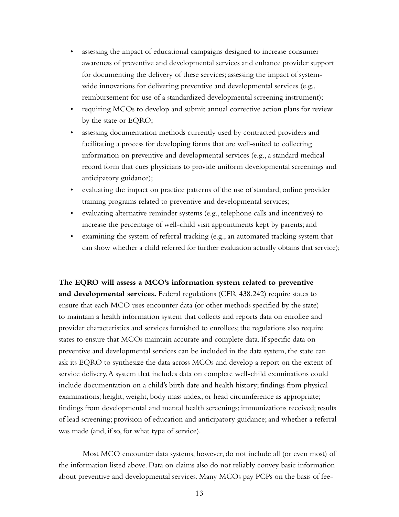- assessing the impact of educational campaigns designed to increase consumer awareness of preventive and developmental services and enhance provider support for documenting the delivery of these services; assessing the impact of systemwide innovations for delivering preventive and developmental services (e.g., reimbursement for use of a standardized developmental screening instrument);
- requiring MCOs to develop and submit annual corrective action plans for review by the state or EQRO;
- • assessing documentation methods currently used by contracted providers and facilitating a process for developing forms that are well-suited to collecting information on preventive and developmental services (e.g., a standard medical record form that cues physicians to provide uniform developmental screenings and anticipatory guidance);
- • evaluating the impact on practice patterns of the use of standard, online provider training programs related to preventive and developmental services;
- evaluating alternative reminder systems (e.g., telephone calls and incentives) to increase the percentage of well-child visit appointments kept by parents; and
- • examining the system of referral tracking (e.g., an automated tracking system that can show whether a child referred for further evaluation actually obtains that service);

**The EQRO will assess a MCO's information system related to preventive and developmental services.** Federal regulations (CFR 438.242) require states to ensure that each MCO uses encounter data (or other methods specified by the state) to maintain a health information system that collects and reports data on enrollee and provider characteristics and services furnished to enrollees; the regulations also require states to ensure that MCOs maintain accurate and complete data. If specific data on preventive and developmental services can be included in the data system, the state can ask its EQRO to synthesize the data across MCOs and develop a report on the extent of service delivery. A system that includes data on complete well-child examinations could include documentation on a child's birth date and health history; findings from physical examinations; height, weight, body mass index, or head circumference as appropriate; findings from developmental and mental health screenings; immunizations received; results of lead screening; provision of education and anticipatory guidance; and whether a referral was made (and, if so, for what type of service).

Most MCO encounter data systems, however, do not include all (or even most) of the information listed above. Data on claims also do not reliably convey basic information about preventive and developmental services. Many MCOs pay PCPs on the basis of fee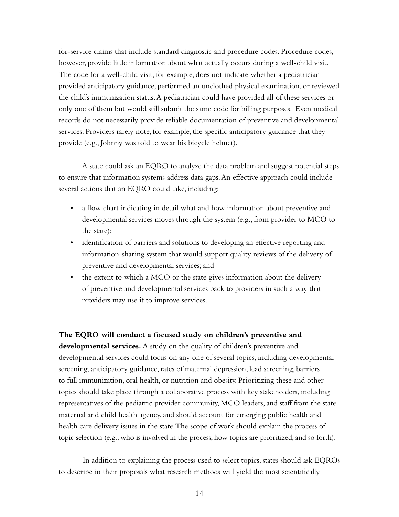for-service claims that include standard diagnostic and procedure codes. Procedure codes, however, provide little information about what actually occurs during a well-child visit. The code for a well-child visit, for example, does not indicate whether a pediatrician provided anticipatory guidance, performed an unclothed physical examination, or reviewed the child's immunization status. A pediatrician could have provided all of these services or only one of them but would still submit the same code for billing purposes. Even medical records do not necessarily provide reliable documentation of preventive and developmental services. Providers rarely note, for example, the specific anticipatory guidance that they provide (e.g., Johnny was told to wear his bicycle helmet).

A state could ask an EQRO to analyze the data problem and suggest potential steps to ensure that information systems address data gaps. An effective approach could include several actions that an EQRO could take, including:

- a flow chart indicating in detail what and how information about preventive and developmental services moves through the system (e.g., from provider to MCO to the state);
- identification of barriers and solutions to developing an effective reporting and information-sharing system that would support quality reviews of the delivery of preventive and developmental services; and
- the extent to which a MCO or the state gives information about the delivery of preventive and developmental services back to providers in such a way that providers may use it to improve services.

**The EQRO will conduct a focused study on children's preventive and developmental services.** A study on the quality of children's preventive and developmental services could focus on any one of several topics, including developmental screening, anticipatory guidance, rates of maternal depression, lead screening, barriers to full immunization, oral health, or nutrition and obesity. Prioritizing these and other topics should take place through a collaborative process with key stakeholders, including representatives of the pediatric provider community, MCO leaders, and staff from the state maternal and child health agency, and should account for emerging public health and health care delivery issues in the state. The scope of work should explain the process of topic selection (e.g., who is involved in the process, how topics are prioritized, and so forth).

In addition to explaining the process used to select topics, states should ask EQROs to describe in their proposals what research methods will yield the most scientifically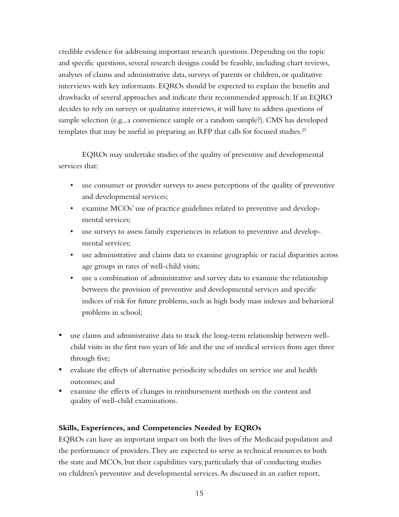credible evidence for addressing important research questions. Depending on the topic and specific questions, several research designs could be feasible, including chart reviews, analyses of claims and administrative data, surveys of parents or children, or qualitative interviews with key informants. EQROs should be expected to explain the benefits and drawbacks of several approaches and indicate their recommended approach. If an EQRO decides to rely on surveys or qualitative interviews, it will have to address questions of sample selection (e.g., a convenience sample or a random sample?). CMS has developed templates that may be useful in preparing an RFP that calls for focused studies.<sup>25</sup>

EQROs may undertake studies of the quality of preventive and developmental services that:

- use consumer or provider surveys to assess perceptions of the quality of preventive and developmental services;
- examine MCOs' use of practice guidelines related to preventive and developmental services;
- use surveys to assess family experiences in relation to preventive and developmental services;
- use administrative and claims data to examine geographic or racial disparities across age groups in rates of well-child visits;
- use a combination of administrative and survey data to examine the relationship between the provision of preventive and developmental services and specific indices of risk for future problems, such as high body mass indexes and behavioral problems in school;
- use claims and administrative data to track the long-term relationship between wellchild visits in the first two years of life and the use of medical services from ages three through five;
- evaluate the effects of alternative periodicity schedules on service use and health outcomes; and
- examine the effects of changes in reimbursement methods on the content and quality of well-child examinations.

## **Skills, Experiences, and Competencies Needed by EQROs**

EQROs can have an important impact on both the lives of the Medicaid population and the performance of providers. They are expected to serve as technical resources to both the state and MCOs, but their capabilities vary, particularly that of conducting studies on children's preventive and developmental services. As discussed in an earlier report,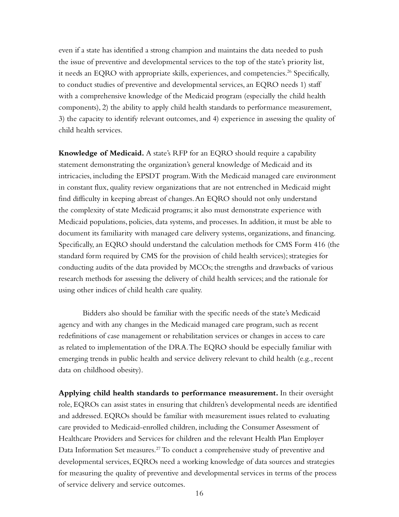even if a state has identified a strong champion and maintains the data needed to push the issue of preventive and developmental services to the top of the state's priority list, it needs an EQRO with appropriate skills, experiences, and competencies.<sup>26</sup> Specifically, to conduct studies of preventive and developmental services, an EQRO needs 1) staff with a comprehensive knowledge of the Medicaid program (especially the child health components), 2) the ability to apply child health standards to performance measurement, 3) the capacity to identify relevant outcomes, and 4) experience in assessing the quality of child health services.

**Knowledge of Medicaid.** A state's RFP for an EQRO should require a capability statement demonstrating the organization's general knowledge of Medicaid and its intricacies, including the EPSDT program. With the Medicaid managed care environment in constant flux, quality review organizations that are not entrenched in Medicaid might find difficulty in keeping abreast of changes. An EQRO should not only understand the complexity of state Medicaid programs; it also must demonstrate experience with Medicaid populations, policies, data systems, and processes. In addition, it must be able to document its familiarity with managed care delivery systems, organizations, and financing. Specifically, an EQRO should understand the calculation methods for CMS Form 416 (the standard form required by CMS for the provision of child health services); strategies for conducting audits of the data provided by MCOs; the strengths and drawbacks of various research methods for assessing the delivery of child health services; and the rationale for using other indices of child health care quality.

Bidders also should be familiar with the specific needs of the state's Medicaid agency and with any changes in the Medicaid managed care program, such as recent redefinitions of case management or rehabilitation services or changes in access to care as related to implementation of the DRA. The EQRO should be especially familiar with emerging trends in public health and service delivery relevant to child health (e.g., recent data on childhood obesity).

**Applying child health standards to performance measurement.** In their oversight role, EQROs can assist states in ensuring that children's developmental needs are identified and addressed. EQROs should be familiar with measurement issues related to evaluating care provided to Medicaid-enrolled children, including the Consumer Assessment of Healthcare Providers and Services for children and the relevant Health Plan Employer Data Information Set measures.<sup>27</sup> To conduct a comprehensive study of preventive and developmental services, EQROs need a working knowledge of data sources and strategies for measuring the quality of preventive and developmental services in terms of the process of service delivery and service outcomes.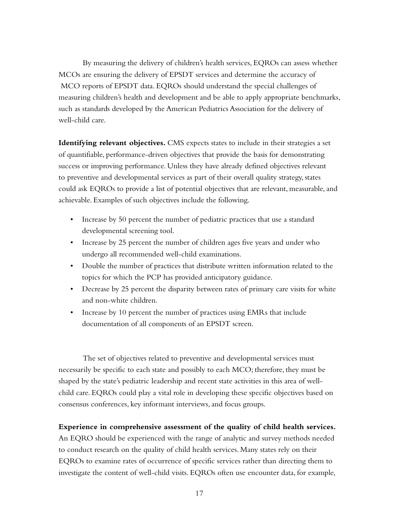By measuring the delivery of children's health services, EQROs can assess whether MCOs are ensuring the delivery of EPSDT services and determine the accuracy of MCO reports of EPSDT data. EQROs should understand the special challenges of measuring children's health and development and be able to apply appropriate benchmarks, such as standards developed by the American Pediatrics Association for the delivery of well-child care.

**Identifying relevant objectives.** CMS expects states to include in their strategies a set of quantifiable, performance-driven objectives that provide the basis for demonstrating success or improving performance. Unless they have already defined objectives relevant to preventive and developmental services as part of their overall quality strategy, states could ask EQROs to provide a list of potential objectives that are relevant, measurable, and achievable. Examples of such objectives include the following.

- Increase by 50 percent the number of pediatric practices that use a standard developmental screening tool.
- Increase by 25 percent the number of children ages five years and under who undergo all recommended well-child examinations.
- Double the number of practices that distribute written information related to the topics for which the PCP has provided anticipatory guidance.
- Decrease by 25 percent the disparity between rates of primary care visits for white and non-white children.
- Increase by 10 percent the number of practices using EMRs that include documentation of all components of an EPSDT screen.

The set of objectives related to preventive and developmental services must necessarily be specific to each state and possibly to each MCO; therefore, they must be shaped by the state's pediatric leadership and recent state activities in this area of wellchild care. EQROs could play a vital role in developing these specific objectives based on consensus conferences, key informant interviews, and focus groups.

#### **Experience in comprehensive assessment of the quality of child health services.**

An EQRO should be experienced with the range of analytic and survey methods needed to conduct research on the quality of child health services. Many states rely on their EQROs to examine rates of occurrence of specific services rather than directing them to investigate the content of well-child visits. EQROs often use encounter data, for example,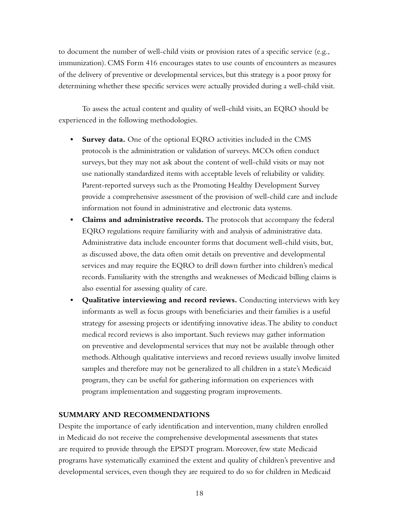to document the number of well-child visits or provision rates of a specific service (e.g., immunization). CMS Form 416 encourages states to use counts of encounters as measures of the delivery of preventive or developmental services, but this strategy is a poor proxy for determining whether these specific services were actually provided during a well-child visit.

To assess the actual content and quality of well-child visits, an EQRO should be experienced in the following methodologies.

- **Survey data.** One of the optional EQRO activities included in the CMS protocols is the administration or validation of surveys. MCOs often conduct surveys, but they may not ask about the content of well-child visits or may not use nationally standardized items with acceptable levels of reliability or validity. Parent-reported surveys such as the Promoting Healthy Development Survey provide a comprehensive assessment of the provision of well-child care and include information not found in administrative and electronic data systems.
- **• Claims and administrative records.** The protocols that accompany the federal EQRO regulations require familiarity with and analysis of administrative data. Administrative data include encounter forms that document well-child visits, but, as discussed above, the data often omit details on preventive and developmental services and may require the EQRO to drill down further into children's medical records. Familiarity with the strengths and weaknesses of Medicaid billing claims is also essential for assessing quality of care.
- **• Qualitative interviewing and record reviews.** Conducting interviews with key informants as well as focus groups with beneficiaries and their families is a useful strategy for assessing projects or identifying innovative ideas. The ability to conduct medical record reviews is also important. Such reviews may gather information on preventive and developmental services that may not be available through other methods. Although qualitative interviews and record reviews usually involve limited samples and therefore may not be generalized to all children in a state's Medicaid program, they can be useful for gathering information on experiences with program implementation and suggesting program improvements.

#### **SUMMARY AND RECOMMENDATIONS**

Despite the importance of early identification and intervention, many children enrolled in Medicaid do not receive the comprehensive developmental assessments that states are required to provide through the EPSDT program. Moreover, few state Medicaid programs have systematically examined the extent and quality of children's preventive and developmental services, even though they are required to do so for children in Medicaid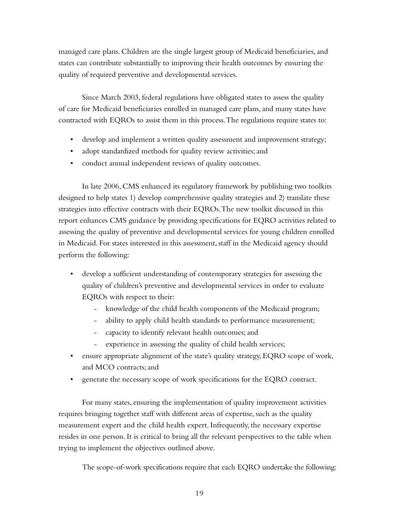managed care plans. Children are the single largest group of Medicaid beneficiaries, and states can contribute substantially to improving their health outcomes by ensuring the quality of required preventive and developmental services.

Since March 2003, federal regulations have obligated states to assess the quality of care for Medicaid beneficiaries enrolled in managed care plans, and many states have contracted with EQROs to assist them in this process. The regulations require states to:

- develop and implement a written quality assessment and improvement strategy;
- adopt standardized methods for quality review activities; and
- conduct annual independent reviews of quality outcomes.

In late 2006, CMS enhanced its regulatory framework by publishing two toolkits designed to help states 1) develop comprehensive quality strategies and 2) translate these strategies into effective contracts with their EQROs. The new toolkit discussed in this report enhances CMS guidance by providing specifications for EQRO activities related to assessing the quality of preventive and developmental services for young children enrolled in Medicaid. For states interested in this assessment, staff in the Medicaid agency should perform the following:

- • develop a sufficient understanding of contemporary strategies for assessing the quality of children's preventive and developmental services in order to evaluate EQROs with respect to their:
	- knowledge of the child health components of the Medicaid program;
	- ability to apply child health standards to performance measurement;
	- capacity to identify relevant health outcomes; and
	- experience in assessing the quality of child health services;
- ensure appropriate alignment of the state's quality strategy, EQRO scope of work, and MCO contracts; and
- • generate the necessary scope of work specifications for the EQRO contract.

For many states, ensuring the implementation of quality improvement activities requires bringing together staff with different areas of expertise, such as the quality measurement expert and the child health expert. Infrequently, the necessary expertise resides in one person. It is critical to bring all the relevant perspectives to the table when trying to implement the objectives outlined above.

The scope-of-work specifications require that each EQRO undertake the following: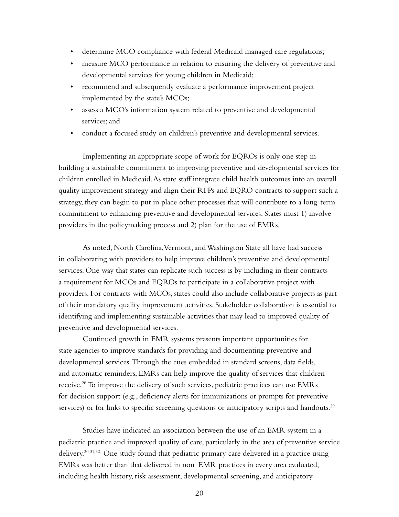- • determine MCO compliance with federal Medicaid managed care regulations;
- measure MCO performance in relation to ensuring the delivery of preventive and developmental services for young children in Medicaid;
- recommend and subsequently evaluate a performance improvement project implemented by the state's MCOs;
- assess a MCO's information system related to preventive and developmental services; and
- conduct a focused study on children's preventive and developmental services.

Implementing an appropriate scope of work for EQROs is only one step in building a sustainable commitment to improving preventive and developmental services for children enrolled in Medicaid. As state staff integrate child health outcomes into an overall quality improvement strategy and align their RFPs and EQRO contracts to support such a strategy, they can begin to put in place other processes that will contribute to a long-term commitment to enhancing preventive and developmental services. States must 1) involve providers in the policymaking process and 2) plan for the use of EMRs.

As noted, North Carolina, Vermont, and Washington State all have had success in collaborating with providers to help improve children's preventive and developmental services. One way that states can replicate such success is by including in their contracts a requirement for MCOs and EQROs to participate in a collaborative project with providers. For contracts with MCOs, states could also include collaborative projects as part of their mandatory quality improvement activities. Stakeholder collaboration is essential to identifying and implementing sustainable activities that may lead to improved quality of preventive and developmental services.

Continued growth in EMR systems presents important opportunities for state agencies to improve standards for providing and documenting preventive and developmental services. Through the cues embedded in standard screens, data fields, and automatic reminders, EMRs can help improve the quality of services that children receive.<sup>28</sup> To improve the delivery of such services, pediatric practices can use EMRs for decision support (e.g., deficiency alerts for immunizations or prompts for preventive services) or for links to specific screening questions or anticipatory scripts and handouts.<sup>29</sup>

Studies have indicated an association between the use of an EMR system in a pediatric practice and improved quality of care, particularly in the area of preventive service delivery.30,31,32 One study found that pediatric primary care delivered in a practice using EMRs was better than that delivered in non–EMR practices in every area evaluated, including health history, risk assessment, developmental screening, and anticipatory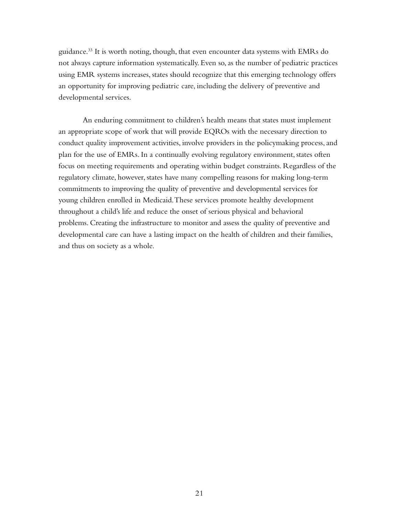guidance.<sup>33</sup> It is worth noting, though, that even encounter data systems with EMRs do not always capture information systematically. Even so, as the number of pediatric practices using EMR systems increases, states should recognize that this emerging technology offers an opportunity for improving pediatric care, including the delivery of preventive and developmental services.

An enduring commitment to children's health means that states must implement an appropriate scope of work that will provide EQROs with the necessary direction to conduct quality improvement activities, involve providers in the policymaking process, and plan for the use of EMRs. In a continually evolving regulatory environment, states often focus on meeting requirements and operating within budget constraints. Regardless of the regulatory climate, however, states have many compelling reasons for making long-term commitments to improving the quality of preventive and developmental services for young children enrolled in Medicaid. These services promote healthy development throughout a child's life and reduce the onset of serious physical and behavioral problems. Creating the infrastructure to monitor and assess the quality of preventive and developmental care can have a lasting impact on the health of children and their families, and thus on society as a whole.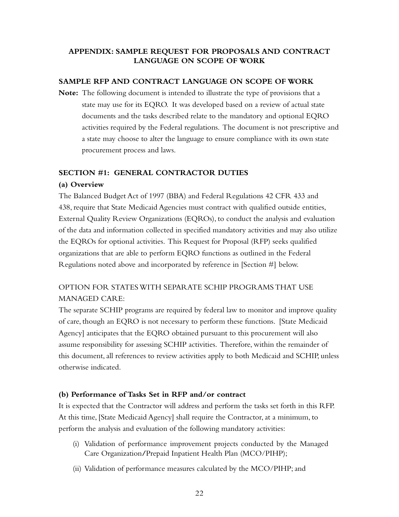## **APPENDIX: SAMPLE Request for proposals AND CONTRACT LANGUAGE ON SCOPE OF WORK**

#### **SAMPLE RFP AND CONTRACT LANGUAGE ON SCOPE OF WORK**

**Note:** The following document is intended to illustrate the type of provisions that a state may use for its EQRO. It was developed based on a review of actual state documents and the tasks described relate to the mandatory and optional EQRO activities required by the Federal regulations. The document is not prescriptive and a state may choose to alter the language to ensure compliance with its own state procurement process and laws.

#### **Section #1: General Contractor Duties**

#### **(a) Overview**

The Balanced Budget Act of 1997 (BBA) and Federal Regulations 42 CFR 433 and 438, require that State Medicaid Agencies must contract with qualified outside entities, External Quality Review Organizations (EQROs), to conduct the analysis and evaluation of the data and information collected in specified mandatory activities and may also utilize the EQROs for optional activities. This Request for Proposal (RFP) seeks qualified organizations that are able to perform EQRO functions as outlined in the Federal Regulations noted above and incorporated by reference in [Section #] below.

# OPTION FOR STATES WITH SEPARATE SCHIP PROGRAMS THAT USE MANAGED CARE:

The separate SCHIP programs are required by federal law to monitor and improve quality of care, though an EQRO is not necessary to perform these functions. [State Medicaid Agency] anticipates that the EQRO obtained pursuant to this procurement will also assume responsibility for assessing SCHIP activities. Therefore, within the remainder of this document, all references to review activities apply to both Medicaid and SCHIP, unless otherwise indicated.

#### **(b) Performance of Tasks Set in RFP and/or contract**

It is expected that the Contractor will address and perform the tasks set forth in this RFP. At this time, [State Medicaid Agency] shall require the Contractor, at a minimum, to perform the analysis and evaluation of the following mandatory activities:

- (i) Validation of performance improvement projects conducted by the Managed Care Organization**/**Prepaid Inpatient Health Plan (MCO/PIHP);
- (ii) Validation of performance measures calculated by the MCO/PIHP; and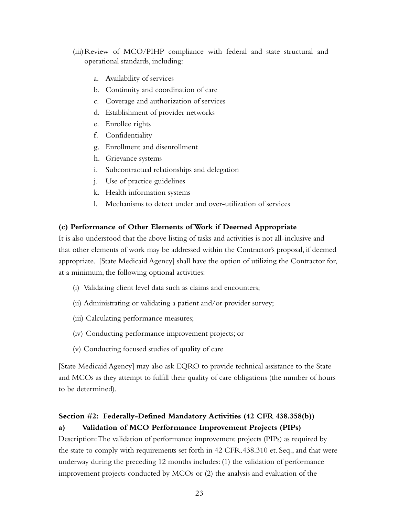- (iii)Review of MCO/PIHP compliance with federal and state structural and operational standards, including:
	- a. Availability of services
	- b. Continuity and coordination of care
	- c. Coverage and authorization of services
	- d. Establishment of provider networks
	- e. Enrollee rights
	- f. Confidentiality
	- g. Enrollment and disenrollment
	- h. Grievance systems
	- i. Subcontractual relationships and delegation
	- j. Use of practice guidelines
	- k. Health information systems
	- l. Mechanisms to detect under and over-utilization of services

#### **(c) Performance of Other Elements of Work if Deemed Appropriate**

It is also understood that the above listing of tasks and activities is not all-inclusive and that other elements of work may be addressed within the Contractor's proposal, if deemed appropriate. [State Medicaid Agency] shall have the option of utilizing the Contractor for, at a minimum, the following optional activities:

- (i) Validating client level data such as claims and encounters;
- (ii) Administrating or validating a patient and/or provider survey;
- (iii) Calculating performance measures;
- (iv) Conducting performance improvement projects; or
- (v) Conducting focused studies of quality of care

[State Medicaid Agency] may also ask EQRO to provide technical assistance to the State and MCOs as they attempt to fulfill their quality of care obligations (the number of hours to be determined).

## **Section #2: Federally-Defined Mandatory Activities (42 CFR 438.358(b)) a) Validation of MCO Performance Improvement Projects (PIPs)**

Description: The validation of performance improvement projects (PIPs) as required by the state to comply with requirements set forth in 42 CFR.438.310 et. Seq., and that were underway during the preceding 12 months includes: (1) the validation of performance improvement projects conducted by MCOs or (2) the analysis and evaluation of the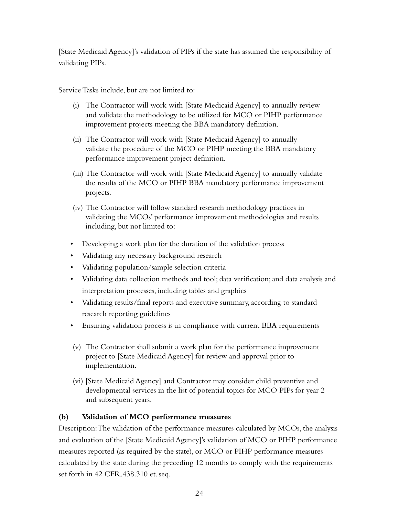[State Medicaid Agency]'s validation of PIPs if the state has assumed the responsibility of validating PIPs.

Service Tasks include, but are not limited to:

- (i) The Contractor will work with [State Medicaid Agency] to annually review and validate the methodology to be utilized for MCO or PIHP performance improvement projects meeting the BBA mandatory definition.
- (ii) The Contractor will work with [State Medicaid Agency] to annually validate the procedure of the MCO or PIHP meeting the BBA mandatory performance improvement project definition.
- (iii) The Contractor will work with [State Medicaid Agency] to annually validate the results of the MCO or PIHP BBA mandatory performance improvement projects.
- (iv) The Contractor will follow standard research methodology practices in validating the MCOs' performance improvement methodologies and results including, but not limited to:
- Developing a work plan for the duration of the validation process
- Validating any necessary background research
- • Validating population/sample selection criteria
- • Validating data collection methods and tool; data verification; and data analysis and interpretation processes, including tables and graphics
- Validating results/final reports and executive summary, according to standard research reporting guidelines
- • Ensuring validation process is in compliance with current BBA requirements
- (v) The Contractor shall submit a work plan for the performance improvement project to [State Medicaid Agency] for review and approval prior to implementation.
- (vi) [State Medicaid Agency] and Contractor may consider child preventive and developmental services in the list of potential topics for MCO PIPs for year 2 and subsequent years.

# **(b) Validation of MCO performance measures**

Description: The validation of the performance measures calculated by MCOs, the analysis and evaluation of the [State Medicaid Agency]'s validation of MCO or PIHP performance measures reported (as required by the state), or MCO or PIHP performance measures calculated by the state during the preceding 12 months to comply with the requirements set forth in 42 CFR.438.310 et. seq.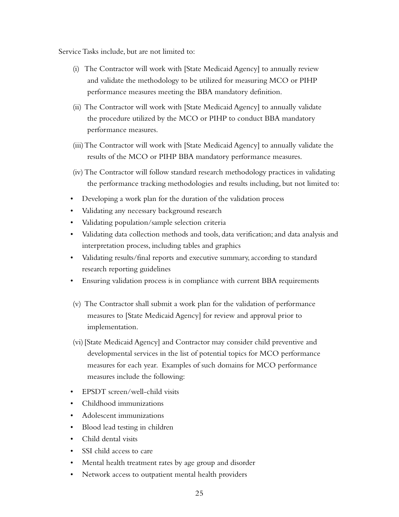- (i) The Contractor will work with [State Medicaid Agency] to annually review and validate the methodology to be utilized for measuring MCO or PIHP performance measures meeting the BBA mandatory definition.
- (ii) The Contractor will work with [State Medicaid Agency] to annually validate the procedure utilized by the MCO or PIHP to conduct BBA mandatory performance measures.
- (iii)The Contractor will work with [State Medicaid Agency] to annually validate the results of the MCO or PIHP BBA mandatory performance measures.
- (iv) The Contractor will follow standard research methodology practices in validating the performance tracking methodologies and results including, but not limited to:
- Developing a work plan for the duration of the validation process
- • Validating any necessary background research
- • Validating population/sample selection criteria
- • Validating data collection methods and tools, data verification; and data analysis and interpretation process, including tables and graphics
- • Validating results/final reports and executive summary, according to standard research reporting guidelines
- Ensuring validation process is in compliance with current BBA requirements
- (v) The Contractor shall submit a work plan for the validation of performance measures to [State Medicaid Agency] for review and approval prior to implementation.
- (vi) [State Medicaid Agency] and Contractor may consider child preventive and developmental services in the list of potential topics for MCO performance measures for each year. Examples of such domains for MCO performance measures include the following:
- • EPSDT screen/well-child visits
- • Childhood immunizations
- • Adolescent immunizations
- • Blood lead testing in children
- • Child dental visits
- SSI child access to care
- • Mental health treatment rates by age group and disorder
- • Network access to outpatient mental health providers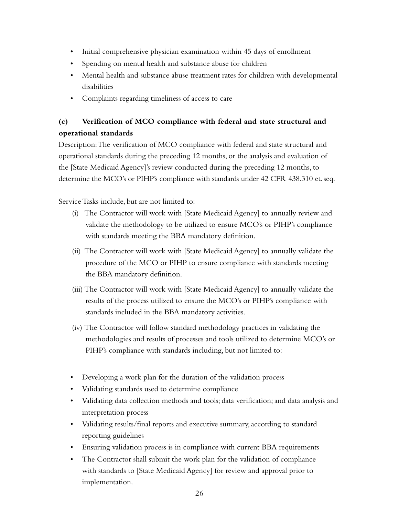- Initial comprehensive physician examination within 45 days of enrollment
- Spending on mental health and substance abuse for children
- • Mental health and substance abuse treatment rates for children with developmental disabilities
- • Complaints regarding timeliness of access to care

# **(c) Verification of MCO compliance with federal and state structural and operational standards**

Description: The verification of MCO compliance with federal and state structural and operational standards during the preceding 12 months, or the analysis and evaluation of the [State Medicaid Agency]'s review conducted during the preceding 12 months, to determine the MCO's or PIHP's compliance with standards under 42 CFR 438.310 et. seq.

Service Tasks include, but are not limited to:

- (i) The Contractor will work with [State Medicaid Agency] to annually review and validate the methodology to be utilized to ensure MCO's or PIHP's compliance with standards meeting the BBA mandatory definition.
- (ii) The Contractor will work with [State Medicaid Agency] to annually validate the procedure of the MCO or PIHP to ensure compliance with standards meeting the BBA mandatory definition.
- (iii) The Contractor will work with [State Medicaid Agency] to annually validate the results of the process utilized to ensure the MCO's or PIHP's compliance with standards included in the BBA mandatory activities.
- (iv) The Contractor will follow standard methodology practices in validating the methodologies and results of processes and tools utilized to determine MCO's or PIHP's compliance with standards including, but not limited to:
- Developing a work plan for the duration of the validation process
- • Validating standards used to determine compliance
- • Validating data collection methods and tools; data verification; and data analysis and interpretation process
- • Validating results/final reports and executive summary, according to standard reporting guidelines
- • Ensuring validation process is in compliance with current BBA requirements
- The Contractor shall submit the work plan for the validation of compliance with standards to [State Medicaid Agency] for review and approval prior to implementation.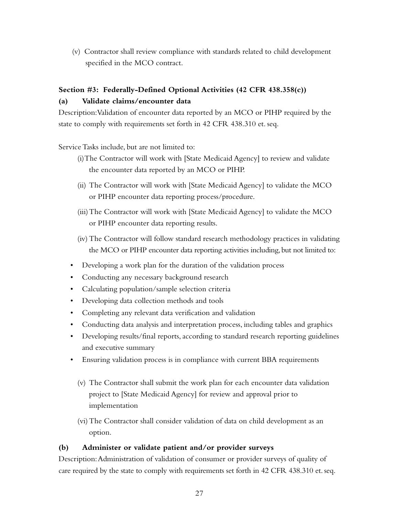(v) Contractor shall review compliance with standards related to child development specified in the MCO contract.

# **Section #3: Federally-Defined Optional Activities (42 CFR 438.358(c))**

#### **(a) Validate claims/encounter data**

Description: Validation of encounter data reported by an MCO or PIHP required by the state to comply with requirements set forth in 42 CFR 438.310 et. seq.

Service Tasks include, but are not limited to:

- (i)The Contractor will work with [State Medicaid Agency] to review and validate the encounter data reported by an MCO or PIHP.
- (ii) The Contractor will work with [State Medicaid Agency] to validate the MCO or PIHP encounter data reporting process/procedure.
- (iii)The Contractor will work with [State Medicaid Agency] to validate the MCO or PIHP encounter data reporting results.
- (iv) The Contractor will follow standard research methodology practices in validating the MCO or PIHP encounter data reporting activities including, but not limited to:
- Developing a work plan for the duration of the validation process
- Conducting any necessary background research
- • Calculating population/sample selection criteria
- Developing data collection methods and tools
- • Completing any relevant data verification and validation
- • Conducting data analysis and interpretation process, including tables and graphics
- Developing results/final reports, according to standard research reporting guidelines and executive summary
- Ensuring validation process is in compliance with current BBA requirements
	- (v) The Contractor shall submit the work plan for each encounter data validation project to [State Medicaid Agency] for review and approval prior to implementation
	- (vi)The Contractor shall consider validation of data on child development as an option.

## **(b) Administer or validate patient and/or provider surveys**

Description: Administration of validation of consumer or provider surveys of quality of care required by the state to comply with requirements set forth in 42 CFR 438.310 et. seq.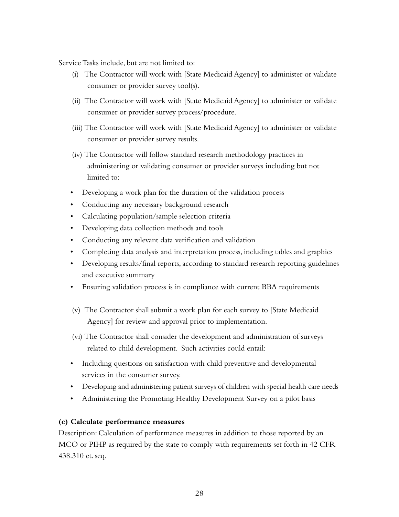- (i) The Contractor will work with [State Medicaid Agency] to administer or validate consumer or provider survey tool(s).
- (ii) The Contractor will work with [State Medicaid Agency] to administer or validate consumer or provider survey process/procedure.
- (iii) The Contractor will work with [State Medicaid Agency] to administer or validate consumer or provider survey results.
- (iv) The Contractor will follow standard research methodology practices in administering or validating consumer or provider surveys including but not limited to:
- Developing a work plan for the duration of the validation process
- • Conducting any necessary background research
- • Calculating population/sample selection criteria
- Developing data collection methods and tools
- • Conducting any relevant data verification and validation
- • Completing data analysis and interpretation process, including tables and graphics
- Developing results/final reports, according to standard research reporting guidelines and executive summary
- Ensuring validation process is in compliance with current BBA requirements
- (v) The Contractor shall submit a work plan for each survey to [State Medicaid Agency] for review and approval prior to implementation.
- (vi) The Contractor shall consider the development and administration of surveys related to child development. Such activities could entail:
- Including questions on satisfaction with child preventive and developmental services in the consumer survey.
- Developing and administering patient surveys of children with special health care needs
- Administering the Promoting Healthy Development Survey on a pilot basis

#### **(c) Calculate performance measures**

Description: Calculation of performance measures in addition to those reported by an MCO or PIHP as required by the state to comply with requirements set forth in 42 CFR 438.310 et. seq.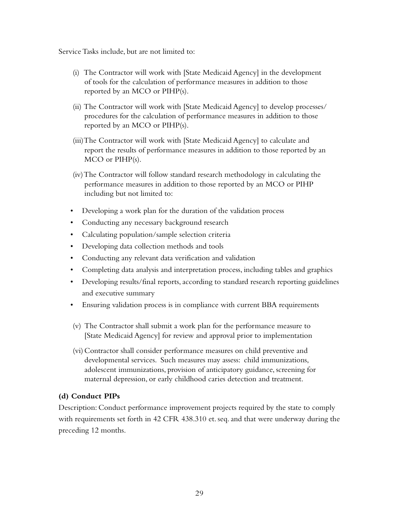- (i) The Contractor will work with [State Medicaid Agency] in the development of tools for the calculation of performance measures in addition to those reported by an MCO or PIHP(s).
- (ii) The Contractor will work with [State Medicaid Agency] to develop processes/ procedures for the calculation of performance measures in addition to those reported by an MCO or PIHP(s).
- (iii)The Contractor will work with [State Medicaid Agency] to calculate and report the results of performance measures in addition to those reported by an MCO or PIHP(s).
- (iv)The Contractor will follow standard research methodology in calculating the performance measures in addition to those reported by an MCO or PIHP including but not limited to:
- Developing a work plan for the duration of the validation process
- • Conducting any necessary background research
- • Calculating population/sample selection criteria
- Developing data collection methods and tools
- • Conducting any relevant data verification and validation
- • Completing data analysis and interpretation process, including tables and graphics
- Developing results/final reports, according to standard research reporting guidelines and executive summary
- Ensuring validation process is in compliance with current BBA requirements
- (v) The Contractor shall submit a work plan for the performance measure to [State Medicaid Agency] for review and approval prior to implementation
- (vi) Contractor shall consider performance measures on child preventive and developmental services. Such measures may assess: child immunizations, adolescent immunizations, provision of anticipatory guidance, screening for maternal depression, or early childhood caries detection and treatment.

#### **(d) Conduct PIPs**

Description: Conduct performance improvement projects required by the state to comply with requirements set forth in 42 CFR 438.310 et. seq. and that were underway during the preceding 12 months.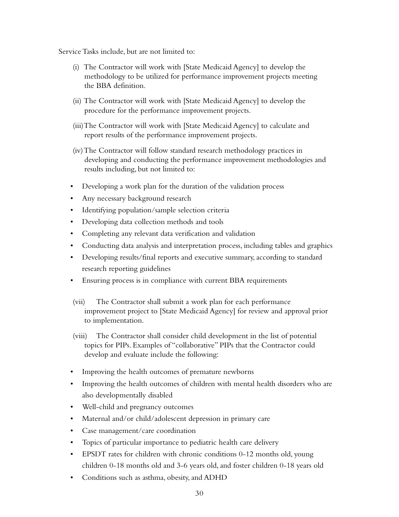- (i) The Contractor will work with [State Medicaid Agency] to develop the methodology to be utilized for performance improvement projects meeting the BBA definition.
- (ii) The Contractor will work with [State Medicaid Agency] to develop the procedure for the performance improvement projects.
- (iii)The Contractor will work with [State Medicaid Agency] to calculate and report results of the performance improvement projects.
- (iv)The Contractor will follow standard research methodology practices in developing and conducting the performance improvement methodologies and results including, but not limited to:
- Developing a work plan for the duration of the validation process
- Any necessary background research
- Identifying population/sample selection criteria
- Developing data collection methods and tools
- • Completing any relevant data verification and validation
- • Conducting data analysis and interpretation process, including tables and graphics
- • Developing results/final reports and executive summary, according to standard research reporting guidelines
- Ensuring process is in compliance with current BBA requirements
- (vii) The Contractor shall submit a work plan for each performance improvement project to [State Medicaid Agency] for review and approval prior to implementation.
- (viii) The Contractor shall consider child development in the list of potential topics for PIPs. Examples of "collaborative" PIPs that the Contractor could develop and evaluate include the following:
- Improving the health outcomes of premature newborns
- Improving the health outcomes of children with mental health disorders who are also developmentally disabled
- • Well-child and pregnancy outcomes
- Maternal and/or child/adolescent depression in primary care
- • Case management/care coordination
- Topics of particular importance to pediatric health care delivery
- EPSDT rates for children with chronic conditions 0-12 months old, young children 0-18 months old and 3-6 years old, and foster children 0-18 years old
- • Conditions such as asthma, obesity, and ADHD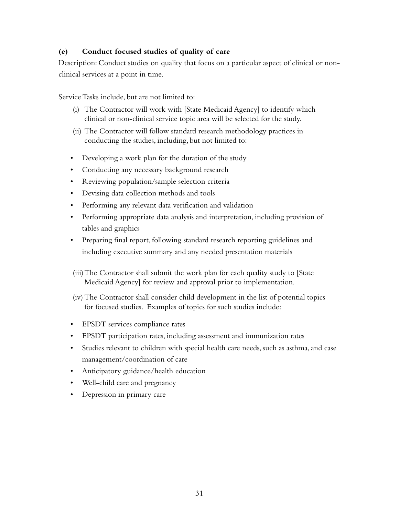#### **(e) Conduct focused studies of quality of care**

Description: Conduct studies on quality that focus on a particular aspect of clinical or nonclinical services at a point in time.

Service Tasks include, but are not limited to:

- (i) The Contractor will work with [State Medicaid Agency] to identify which clinical or non-clinical service topic area will be selected for the study.
- (ii) The Contractor will follow standard research methodology practices in conducting the studies, including, but not limited to:
- Developing a work plan for the duration of the study
- • Conducting any necessary background research
- • Reviewing population/sample selection criteria
- • Devising data collection methods and tools
- • Performing any relevant data verification and validation
- Performing appropriate data analysis and interpretation, including provision of tables and graphics
- Preparing final report, following standard research reporting guidelines and including executive summary and any needed presentation materials
- (iii)The Contractor shall submit the work plan for each quality study to [State Medicaid Agency] for review and approval prior to implementation.
- (iv) The Contractor shall consider child development in the list of potential topics for focused studies. Examples of topics for such studies include:
- • EPSDT services compliance rates
- • EPSDT participation rates, including assessment and immunization rates
- • Studies relevant to children with special health care needs, such as asthma, and case management/coordination of care
- Anticipatory guidance/health education
- • Well-child care and pregnancy
- • Depression in primary care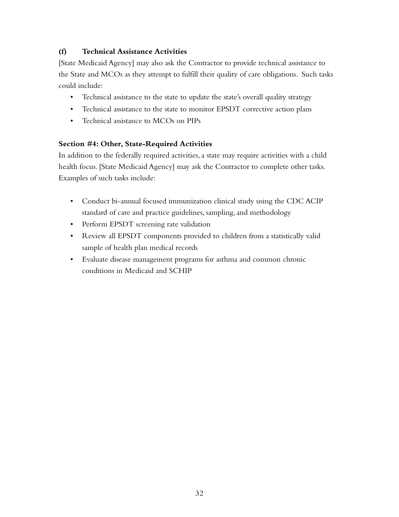## **(f) Technical Assistance Activities**

[State Medicaid Agency] may also ask the Contractor to provide technical assistance to the State and MCOs as they attempt to fulfill their quality of care obligations. Such tasks could include:

- Technical assistance to the state to update the state's overall quality strategy
- Technical assistance to the state to monitor EPSDT corrective action plans
- • Technical assistance to MCOs on PIPs

#### **Section #4: Other, State-Required Activities**

In addition to the federally required activities, a state may require activities with a child health focus. [State Medicaid Agency] may ask the Contractor to complete other tasks. Examples of such tasks include:

- Conduct bi-annual focused immunization clinical study using the CDC ACIP standard of care and practice guidelines, sampling, and methodology
- • Perform EPSDT screening rate validation
- • Review all EPSDT components provided to children from a statistically valid sample of health plan medical records
- • Evaluate disease management programs for asthma and common chronic conditions in Medicaid and SCHIP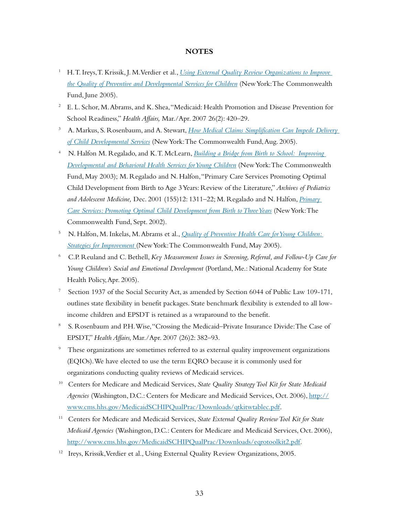#### **NOTES**

- <sup>1</sup> H. T. Ireys, T. Krissik, J. M. Verdier et al., *[Using External Quality Review Organizations to Improve](http://www.commonwealthfund.org/publications/publications_show.htm?doc_id=278078)  [the Quality of Preventive and Developmental Services for Children](http://www.commonwealthfund.org/publications/publications_show.htm?doc_id=278078)* (New York: The Commonwealth Fund, June 2005).
- <sup>2</sup> E. L. Schor, M. Abrams, and K. Shea, "Medicaid: Health Promotion and Disease Prevention for School Readiness," *Health Affairs,* Mar./Apr. 2007 26(2): 420–29.
- <sup>3</sup> A. Markus, S. Rosenbaum, and A. Stewart, *How Medical Claims Simplification Can Impede Delivery [of Child Developmental Services](http://www.commonwealthfund.org/publications/publications_show.htm?doc_id=290754)* (New York: The Commonwealth Fund, Aug. 2005).
- <sup>4</sup> N. Halfon M. Regalado, and K. T. McLearn, *[Building a Bridge from Birth to School: Improving](http://www.commonwealthfund.org/publications/publications_show.htm?doc_id=221307)  [Developmental and Behavioral Health Services for Young Children](http://www.commonwealthfund.org/publications/publications_show.htm?doc_id=221307)* (New York: The Commonwealth Fund, May 2003); M. Regalado and N. Halfon, "Primary Care Services Promoting Optimal Child Development from Birth to Age 3 Years: Review of the Literature," *Archives of Pediatrics and Adolescent Medicine,* Dec. 2001 (155)12: 1311–22; M. Regalado and N. Halfon, *[Primary](http://www.commonwealthfund.org/publications/publications_show.htm?doc_id=221268)  [Care Services: Promoting Optimal Child Development from Birth to Three Years](http://www.commonwealthfund.org/publications/publications_show.htm?doc_id=221268)* (New York: The Commonwealth Fund, Sept. 2002).
- <sup>5</sup> N. Halfon, M. Inkelas, M. Abrams et al., *[Quality of Preventive Health Care for Young Children:](http://www.commonwealthfund.org/publications/publications_show.htm?doc_id=275484)  [Strategies for Improvement](http://www.commonwealthfund.org/publications/publications_show.htm?doc_id=275484)* (New York: The Commonwealth Fund, May 2005).
- <sup>6</sup> C.P. Reuland and C. Bethell, *Key Measurement Issues in Screening, Referral, and Follow-Up Care for Young Children's Social and Emotional Development* (Portland, Me.: National Academy for State Health Policy, Apr. 2005).
- <sup>7</sup> Section 1937 of the Social Security Act, as amended by Section 6044 of Public Law 109-171, outlines state flexibility in benefit packages. State benchmark flexibility is extended to all lowincome children and EPSDT is retained as a wraparound to the benefit.
- <sup>8</sup> S. Rosenbaum and P.H. Wise, "Crossing the Medicaid–Private Insurance Divide: The Case of EPSDT," *Health Affairs,* Mar./Apr. 2007 (26)2: 382–93.
- <sup>9</sup> These organizations are sometimes referred to as external quality improvement organizations (EQIOs). We have elected to use the term EQRO because it is commonly used for organizations conducting quality reviews of Medicaid services.
- <sup>10</sup> Centers for Medicare and Medicaid Services, *State Quality Strategy Tool Kit for State Medicaid Agencies* (Washington, D.C.: Centers for Medicare and Medicaid Services, Oct. 2006), [http://](http://www.cms.hhs.gov/MedicaidSCHIPQualPrac/Downloads/qtkitwtablec.pdf) [www.cms.hhs.gov/MedicaidSCHIPQualPrac/Downloads/qtkitwtablec.pdf.](http://www.cms.hhs.gov/MedicaidSCHIPQualPrac/Downloads/qtkitwtablec.pdf)
- <sup>11</sup> Centers for Medicare and Medicaid Services, *State External Quality Review Tool Kit for State Medicaid Agencies* (Washington, D.C.: Centers for Medicare and Medicaid Services, Oct. 2006), [http://www.cms.hhs.gov/MedicaidSCHIPQualPrac/Downloads/eqrotoolkit2.pdf.](http://www.cms.hhs.gov/MedicaidSCHIPQualPrac/Downloads/eqrotoolkit2.pdf)
- <sup>12</sup> Ireys, Krissik, Verdier et al., Using External Quality Review Organizations, 2005.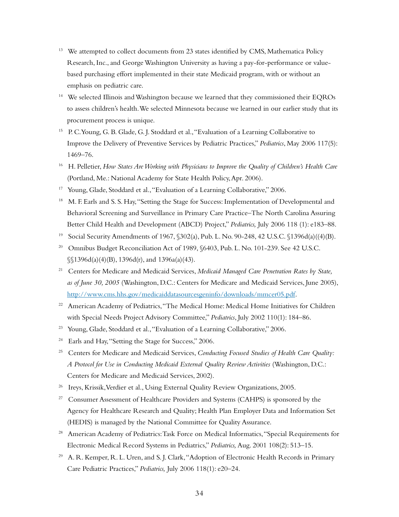- $13$  We attempted to collect documents from 23 states identified by CMS, Mathematica Policy Research, Inc., and George Washington University as having a pay-for-performance or valuebased purchasing effort implemented in their state Medicaid program, with or without an emphasis on pediatric care.
- <sup>14</sup> We selected Illinois and Washington because we learned that they commissioned their EQROs to assess children's health. We selected Minnesota because we learned in our earlier study that its procurement process is unique.
- <sup>15</sup> P. C. Young, G. B. Glade, G. J. Stoddard et al., "Evaluation of a Learning Collaborative to Improve the Delivery of Preventive Services by Pediatric Practices," *Pediatrics*, May 2006 117(5): 1469–76.
- <sup>16</sup> H. Pelletier, *How States Are Working with Physicians to Improve the Quality of Children's Health Care* (Portland, Me.: National Academy for State Health Policy, Apr. 2006).
- <sup>17</sup> Young, Glade, Stoddard et al., "Evaluation of a Learning Collaborative," 2006.
- <sup>18</sup> M. F. Earls and S. S. Hay, "Setting the Stage for Success: Implementation of Developmental and Behavioral Screening and Surveillance in Primary Care Practice–The North Carolina Assuring Better Child Health and Development (ABCD) Project," *Pediatrics,* July 2006 118 (1): e183–88.
- <sup>19</sup> Social Security Amendments of 1967,  $$302(a)$ , Pub. L. No. 90-248, 42 U.S.C.  $$1396d(a)((4)(B)$ .
- <sup>20</sup> Omnibus Budget Reconciliation Act of 1989, §6403, Pub. L. No. 101-239. See 42 U.S.C.  $\mathcal{S}(1396d(a)(4)(B), 1396d(r), and 1396a(a)(43).$
- <sup>21</sup> Centers for Medicare and Medicaid Services, *Medicaid Managed Care Penetration Rates by State, as of June 30, 2005* (Washington, D.C.: Centers for Medicare and Medicaid Services, June 2005), <http://www.cms.hhs.gov/medicaiddatasourcesgeninfo/downloads/mmcer05.pdf>.
- <sup>22</sup> American Academy of Pediatrics, "The Medical Home: Medical Home Initiatives for Children with Special Needs Project Advisory Committee," *Pediatrics*, July 2002 110(1): 184–86.
- <sup>23</sup> Young, Glade, Stoddard et al., "Evaluation of a Learning Collaborative," 2006.
- <sup>24</sup> Earls and Hay, "Setting the Stage for Success," 2006.
- <sup>25</sup> Centers for Medicare and Medicaid Services, *Conducting Focused Studies of Health Care Quality: A Protocol for Use in Conducting Medicaid External Quality Review Activities* (Washington, D.C.: Centers for Medicare and Medicaid Services, 2002).
- <sup>26</sup> Ireys, Krissik, Verdier et al., Using External Quality Review Organizations, 2005.
- <sup>27</sup> Consumer Assessment of Healthcare Providers and Systems (CAHPS) is sponsored by the Agency for Healthcare Research and Quality; Health Plan Employer Data and Information Set (HEDIS) is managed by the National Committee for Quality Assurance.
- <sup>28</sup> American Academy of Pediatrics: Task Force on Medical Informatics, "Special Requirements for Electronic Medical Record Systems in Pediatrics," *Pediatrics,* Aug. 2001 108(2): 513–15.
- <sup>29</sup> A. R. Kemper, R. L. Uren, and S. J. Clark, "Adoption of Electronic Health Records in Primary Care Pediatric Practices," *Pediatrics,* July 2006 118(1): e20–24.